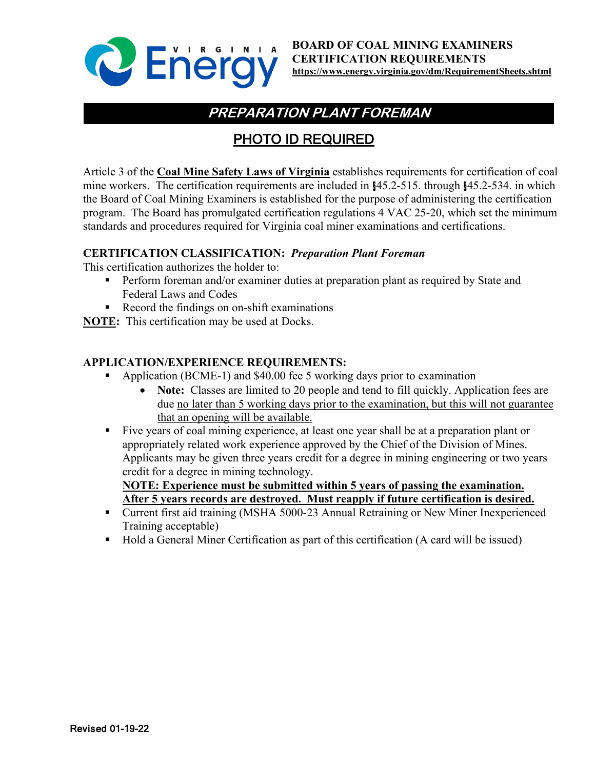

# **PREPARATION PLANT FOREMAN**

## PHOTO ID REQUIRED

Article 3 of the **Coal Mine Safety Laws of Virginia** establishes requirements for certification of coal mine workers. The certification requirements are included in §45.2-515. through §45.2-534. in which the Board of Coal Mining Examiners is established for the purpose of administering the certification program. The Board has promulgated certification regulations 4 VAC 25-20, which set the minimum standards and procedures required for Virginia coal miner examinations and certifications.

### **CERTIFICATION CLASSIFICATION:** *Preparation Plant Foreman*

This certification authorizes the holder to:

- **Perform foreman and/or examiner duties at preparation plant as required by State and** Federal Laws and Codes
- Record the findings on on-shift examinations
- **NOTE:** This certification may be used at Docks.

### **APPLICATION/EXPERIENCE REQUIREMENTS:**

- Application (BCME-1) and \$40.00 fee 5 working days prior to examination
	- **Note:** Classes are limited to 20 people and tend to fill quickly. Application fees are due no later than 5 working days prior to the examination, but this will not guarantee that an opening will be available.
- Five years of coal mining experience, at least one year shall be at a preparation plant or appropriately related work experience approved by the Chief of the Division of Mines. Applicants may be given three years credit for a degree in mining engineering or two years credit for a degree in mining technology.

**NOTE: Experience must be submitted within 5 years of passing the examination. After 5 years records are destroyed. Must reapply if future certification is desired.**

- Current first aid training (MSHA 5000-23 Annual Retraining or New Miner Inexperienced Training acceptable)
- Hold a General Miner Certification as part of this certification (A card will be issued)